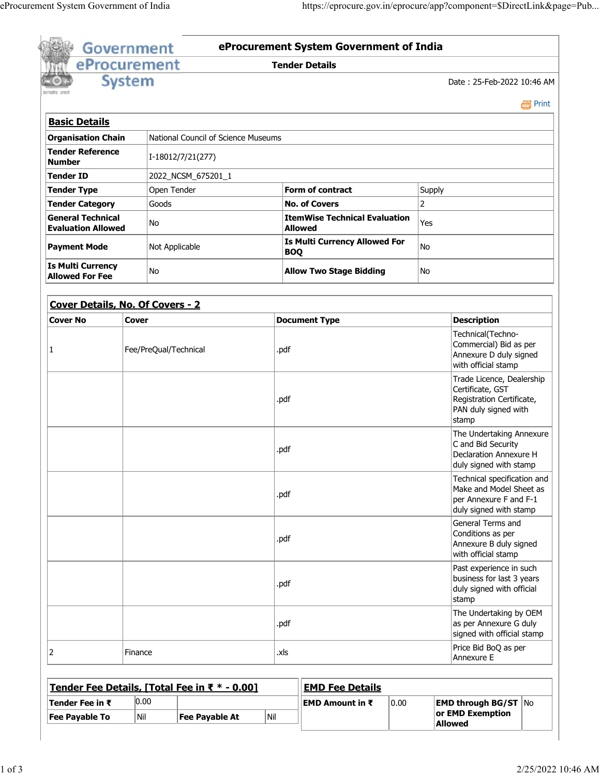|                                                       | eProcurement  |                                               |                | <b>Tender Details</b>                              |                                                                                                             |                                                                                |  |
|-------------------------------------------------------|---------------|-----------------------------------------------|----------------|----------------------------------------------------|-------------------------------------------------------------------------------------------------------------|--------------------------------------------------------------------------------|--|
| एकामेथ जवा                                            | <b>System</b> |                                               |                |                                                    |                                                                                                             | Date: 25-Feb-2022 10:46 AM                                                     |  |
|                                                       |               |                                               |                |                                                    |                                                                                                             | e Print                                                                        |  |
| <b>Basic Details</b>                                  |               |                                               |                |                                                    |                                                                                                             |                                                                                |  |
| <b>Organisation Chain</b>                             |               | National Council of Science Museums           |                |                                                    |                                                                                                             |                                                                                |  |
| <b>Tender Reference</b><br><b>Number</b>              |               | I-18012/7/21(277)                             |                |                                                    |                                                                                                             |                                                                                |  |
| <b>Tender ID</b>                                      |               | 2022_NCSM_675201_1                            |                |                                                    |                                                                                                             |                                                                                |  |
| <b>Tender Type</b>                                    |               | Open Tender                                   |                | Form of contract                                   | Supply                                                                                                      |                                                                                |  |
| <b>Tender Category</b>                                |               | Goods                                         |                | <b>No. of Covers</b>                               | $\overline{2}$                                                                                              |                                                                                |  |
| <b>General Technical</b><br><b>Evaluation Allowed</b> |               | No                                            | <b>Allowed</b> |                                                    | <b>ItemWise Technical Evaluation</b><br>Yes                                                                 |                                                                                |  |
| <b>Payment Mode</b>                                   |               | Not Applicable                                |                | <b>Is Multi Currency Allowed For</b><br><b>BOQ</b> | No                                                                                                          |                                                                                |  |
| <b>Is Multi Currency</b><br><b>Allowed For Fee</b>    |               | No                                            |                | <b>Allow Two Stage Bidding</b>                     | No                                                                                                          |                                                                                |  |
|                                                       |               | Cover Details, No. Of Covers - 2              |                |                                                    |                                                                                                             |                                                                                |  |
| <b>Cover No</b>                                       | <b>Cover</b>  |                                               |                | <b>Document Type</b>                               |                                                                                                             | <b>Description</b>                                                             |  |
| 1                                                     |               | Fee/PreQual/Technical                         | .pdf           |                                                    | Technical(Techno-<br>Commercial) Bid as per<br>Annexure D duly signed<br>with official stamp                |                                                                                |  |
|                                                       |               |                                               | .pdf           |                                                    | Trade Licence, Dealership<br>Certificate, GST<br>Registration Certificate,<br>PAN duly signed with<br>stamp |                                                                                |  |
|                                                       |               |                                               | .pdf           |                                                    | The Undertaking Annexure<br>C and Bid Security<br>Declaration Annexure H<br>duly signed with stamp          |                                                                                |  |
|                                                       |               |                                               | .pdf           |                                                    | Technical specification and<br>Make and Model Sheet as<br>per Annexure F and F-1<br>duly signed with stamp  |                                                                                |  |
|                                                       |               |                                               | .pdf           |                                                    | General Terms and<br>Conditions as per<br>Annexure B duly signed<br>with official stamp                     |                                                                                |  |
|                                                       |               |                                               |                | .pdf                                               | Past experience in such<br>business for last 3 years<br>duly signed with official<br>stamp                  |                                                                                |  |
|                                                       |               |                                               | .pdf           |                                                    |                                                                                                             | The Undertaking by OEM<br>as per Annexure G duly<br>signed with official stamp |  |
| 2                                                     | Finance       |                                               | .xls           |                                                    |                                                                                                             | Price Bid BoQ as per<br>Annexure E                                             |  |
|                                                       |               | Tender Fee Details, [Total Fee in ₹ * - 0.00] |                | <b>EMD Fee Details</b>                             |                                                                                                             |                                                                                |  |
| Tender Fee in $\bar{\tau}$                            |               | 0.00                                          |                | <b>EMD Amount in <math>\bar{x}</math></b>          | 0.00                                                                                                        | <b>EMD through BG/ST   No</b>                                                  |  |
| <b>Fee Payable To</b>                                 | Nil           | <b>Fee Payable At</b>                         | Nil            |                                                    |                                                                                                             | or EMD Exemption                                                               |  |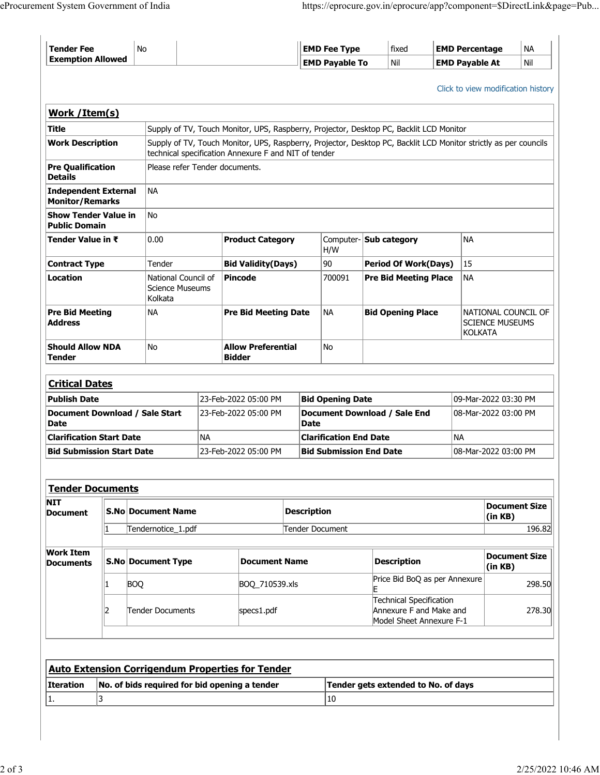| `Tender Fee       | No | <b>EMD Fee Type</b>   | fixed | <b>EMD Percentage</b> | <b>NA</b> |
|-------------------|----|-----------------------|-------|-----------------------|-----------|
| Exemption Allowed |    | <b>EMD Pavable To</b> | Nil   | <b>EMD Pavable At</b> | Nil       |
|                   |    |                       |       |                       |           |

Click to view modification history

| Work / Item(s)                                        |   |                                                          |                                |                                                                                         |                                                      |                    |                                             |                                                                                                                  |                                                                 |                                 |  |
|-------------------------------------------------------|---|----------------------------------------------------------|--------------------------------|-----------------------------------------------------------------------------------------|------------------------------------------------------|--------------------|---------------------------------------------|------------------------------------------------------------------------------------------------------------------|-----------------------------------------------------------------|---------------------------------|--|
| <b>Title</b>                                          |   |                                                          |                                | Supply of TV, Touch Monitor, UPS, Raspberry, Projector, Desktop PC, Backlit LCD Monitor |                                                      |                    |                                             |                                                                                                                  |                                                                 |                                 |  |
| <b>Work Description</b>                               |   |                                                          |                                |                                                                                         | technical specification Annexure F and NIT of tender |                    |                                             | Supply of TV, Touch Monitor, UPS, Raspberry, Projector, Desktop PC, Backlit LCD Monitor strictly as per councils |                                                                 |                                 |  |
| <b>Pre Qualification</b><br><b>Details</b>            |   |                                                          | Please refer Tender documents. |                                                                                         |                                                      |                    |                                             |                                                                                                                  |                                                                 |                                 |  |
| <b>Independent External</b><br><b>Monitor/Remarks</b> |   | <b>NA</b>                                                |                                |                                                                                         |                                                      |                    |                                             |                                                                                                                  |                                                                 |                                 |  |
| <b>Show Tender Value in</b><br><b>Public Domain</b>   |   | N <sub>o</sub>                                           |                                |                                                                                         |                                                      |                    |                                             |                                                                                                                  |                                                                 |                                 |  |
| Tender Value in ₹                                     |   | 0.00                                                     |                                | <b>Product Category</b>                                                                 |                                                      | H/W                | Computer- <b>Sub category</b>               | <b>NA</b>                                                                                                        |                                                                 |                                 |  |
| <b>Contract Type</b>                                  |   |                                                          | Tender                         |                                                                                         | <b>Bid Validity(Days)</b>                            |                    | 90                                          | <b>Period Of Work(Days)</b>                                                                                      | 15                                                              |                                 |  |
| Location                                              |   | National Council of<br><b>Science Museums</b><br>Kolkata |                                | <b>Pincode</b>                                                                          |                                                      | 700091             | <b>Pre Bid Meeting Place</b>                | <b>NA</b>                                                                                                        |                                                                 |                                 |  |
| <b>Pre Bid Meeting</b><br><b>Address</b>              |   |                                                          | <b>NA</b>                      | <b>Pre Bid Meeting Date</b>                                                             |                                                      |                    | <b>NA</b><br><b>Bid Opening Place</b>       |                                                                                                                  | NATIONAL COUNCIL OF<br><b>SCIENCE MUSEUMS</b><br><b>KOLKATA</b> |                                 |  |
| <b>Should Allow NDA</b><br><b>Tender</b>              |   |                                                          | N <sub>o</sub>                 |                                                                                         | <b>Allow Preferential</b><br><b>Bidder</b>           |                    | <b>No</b>                                   |                                                                                                                  |                                                                 |                                 |  |
| <b>Critical Dates</b>                                 |   |                                                          |                                |                                                                                         |                                                      |                    |                                             |                                                                                                                  |                                                                 |                                 |  |
| <b>Publish Date</b>                                   |   |                                                          |                                | 23-Feb-2022 05:00 PM                                                                    |                                                      |                    | <b>Bid Opening Date</b>                     |                                                                                                                  |                                                                 | 09-Mar-2022 03:30 PM            |  |
| Document Download / Sale Start<br><b>Date</b>         |   |                                                          |                                | 23-Feb-2022 05:00 PM                                                                    |                                                      |                    | Document Download / Sale End<br><b>Date</b> |                                                                                                                  | 08-Mar-2022 03:00 PM                                            |                                 |  |
| <b>Clarification Start Date</b>                       |   |                                                          |                                | <b>NA</b>                                                                               |                                                      |                    | <b>Clarification End Date</b>               |                                                                                                                  | <b>NA</b>                                                       |                                 |  |
| <b>Bid Submission Start Date</b>                      |   |                                                          |                                |                                                                                         | 23-Feb-2022 05:00 PM                                 |                    | <b>Bid Submission End Date</b>              |                                                                                                                  |                                                                 | 08-Mar-2022 03:00 PM            |  |
| <b>Tender Documents</b>                               |   |                                                          |                                |                                                                                         |                                                      |                    |                                             |                                                                                                                  |                                                                 |                                 |  |
| NIT<br><b>Document</b>                                |   | <b>S.No Document Name</b>                                |                                |                                                                                         |                                                      | <b>Description</b> |                                             |                                                                                                                  | <b>Document Size</b><br>(in KB)                                 |                                 |  |
| 1<br>Tendernotice_1.pdf                               |   |                                                          |                                | <b>Tender Document</b>                                                                  |                                                      |                    |                                             | 196.82                                                                                                           |                                                                 |                                 |  |
| <b>Work Item</b><br><b>Documents</b>                  |   |                                                          | <b>S.No Document Type</b>      |                                                                                         | <b>Document Name</b>                                 |                    |                                             | <b>Description</b>                                                                                               |                                                                 | <b>Document Size</b><br>(in KB) |  |
|                                                       | 1 | <b>BOQ</b>                                               |                                |                                                                                         | BOQ_710539.xls                                       |                    |                                             | Price Bid BoQ as per Annexure<br>E                                                                               |                                                                 | 298.50                          |  |

| ט∪ט |                  | <b>PUY LUSSING</b> |                                                                                | 290.50 |
|-----|------------------|--------------------|--------------------------------------------------------------------------------|--------|
|     | Tender Documents | specs1.pdf         | Technical Specification<br>Annexure F and Make and<br>Model Sheet Annexure F-1 | 278.30 |

|                  | <b>Auto Extension Corrigendum Properties for Tender</b> |                                     |  |  |  |  |
|------------------|---------------------------------------------------------|-------------------------------------|--|--|--|--|
| <b>Iteration</b> | No. of bids required for bid opening a tender           | Tender gets extended to No. of days |  |  |  |  |
| 11.              |                                                         | 10                                  |  |  |  |  |